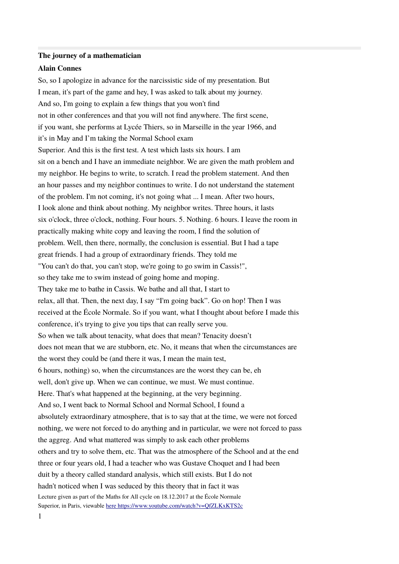#### **The journey of a mathematician**

### **Alain Connes**

So, so I apologize in advance for the narcissistic side of my presentation. But I mean, it's part of the game and hey, I was asked to talk about my journey. And so, I'm going to explain a few things that you won't fnd not in other conferences and that you will not fnd anywhere. The frst scene, if you want, she performs at Lycée Thiers, so in Marseille in the year 1966, and it's in May and I'm taking the Normal School exam Superior. And this is the frst test. A test which lasts six hours. I am sit on a bench and I have an immediate neighbor. We are given the math problem and my neighbor. He begins to write, to scratch. I read the problem statement. And then an hour passes and my neighbor continues to write. I do not understand the statement of the problem. I'm not coming, it's not going what ... I mean. After two hours, I look alone and think about nothing. My neighbor writes. Three hours, it lasts six o'clock, three o'clock, nothing. Four hours. 5. Nothing. 6 hours. I leave the room in practically making white copy and leaving the room, I fnd the solution of problem. Well, then there, normally, the conclusion is essential. But I had a tape great friends. I had a group of extraordinary friends. They told me "You can't do that, you can't stop, we're going to go swim in Cassis!", so they take me to swim instead of going home and moping. They take me to bathe in Cassis. We bathe and all that, I start to relax, all that. Then, the next day, I say "I'm going back". Go on hop! Then I was received at the École Normale. So if you want, what I thought about before I made this conference, it's trying to give you tips that can really serve you. So when we talk about tenacity, what does that mean? Tenacity doesn't does not mean that we are stubborn, etc. No, it means that when the circumstances are the worst they could be (and there it was, I mean the main test, 6 hours, nothing) so, when the circumstances are the worst they can be, eh well, don't give up. When we can continue, we must. We must continue. Here. That's what happened at the beginning, at the very beginning. And so, I went back to Normal School and Normal School, I found a absolutely extraordinary atmosphere, that is to say that at the time, we were not forced nothing, we were not forced to do anything and in particular, we were not forced to pass the aggreg. And what mattered was simply to ask each other problems others and try to solve them, etc. That was the atmosphere of the School and at the end three or four years old, I had a teacher who was Gustave Choquet and I had been duit by a theory called standard analysis, which still exists. But I do not hadn't noticed when I was seduced by this theory that in fact it was Lecture given as part of the Maths for All cycle on 18.12.2017 at the École Normale Superior, in Paris, viewable [here https://www.youtube.com/watch?v=QfZLKxKTS2c](https://translate.google.com/translate?hl=fr&prev=_t&sl=fr&tl=en&u=https://www.youtube.com/watch%3Fv%3DQfZLKxKTS2c)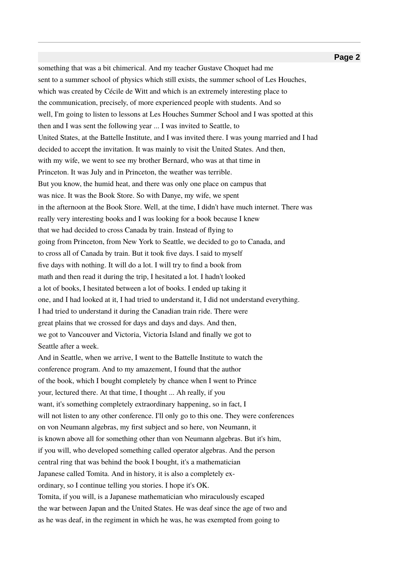something that was a bit chimerical. And my teacher Gustave Choquet had me sent to a summer school of physics which still exists, the summer school of Les Houches, which was created by Cécile de Witt and which is an extremely interesting place to the communication, precisely, of more experienced people with students. And so well, I'm going to listen to lessons at Les Houches Summer School and I was spotted at this then and I was sent the following year ... I was invited to Seattle, to United States, at the Battelle Institute, and I was invited there. I was young married and I had decided to accept the invitation. It was mainly to visit the United States. And then, with my wife, we went to see my brother Bernard, who was at that time in Princeton. It was July and in Princeton, the weather was terrible. But you know, the humid heat, and there was only one place on campus that was nice. It was the Book Store. So with Danye, my wife, we spent in the afternoon at the Book Store. Well, at the time, I didn't have much internet. There was really very interesting books and I was looking for a book because I knew that we had decided to cross Canada by train. Instead of fying to going from Princeton, from New York to Seattle, we decided to go to Canada, and to cross all of Canada by train. But it took fve days. I said to myself fve days with nothing. It will do a lot. I will try to fnd a book from math and then read it during the trip, I hesitated a lot. I hadn't looked a lot of books, I hesitated between a lot of books. I ended up taking it one, and I had looked at it, I had tried to understand it, I did not understand everything. I had tried to understand it during the Canadian train ride. There were great plains that we crossed for days and days and days. And then, we got to Vancouver and Victoria, Victoria Island and fnally we got to Seattle after a week. And in Seattle, when we arrive, I went to the Battelle Institute to watch the conference program. And to my amazement, I found that the author of the book, which I bought completely by chance when I went to Prince your, lectured there. At that time, I thought ... Ah really, if you want, it's something completely extraordinary happening, so in fact, I will not listen to any other conference. I'll only go to this one. They were conferences on von Neumann algebras, my frst subject and so here, von Neumann, it is known above all for something other than von Neumann algebras. But it's him, if you will, who developed something called operator algebras. And the person central ring that was behind the book I bought, it's a mathematician Japanese called Tomita. And in history, it is also a completely exordinary, so I continue telling you stories. I hope it's OK. Tomita, if you will, is a Japanese mathematician who miraculously escaped the war between Japan and the United States. He was deaf since the age of two and as he was deaf, in the regiment in which he was, he was exempted from going to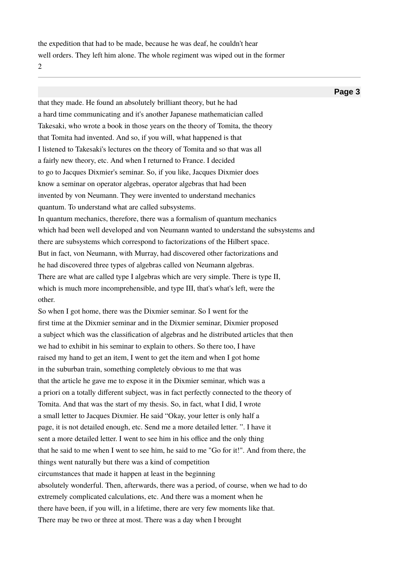the expedition that had to be made, because he was deaf, he couldn't hear well orders. They left him alone. The whole regiment was wiped out in the former 2

**Page 3**

that they made. He found an absolutely brilliant theory, but he had a hard time communicating and it's another Japanese mathematician called Takesaki, who wrote a book in those years on the theory of Tomita, the theory that Tomita had invented. And so, if you will, what happened is that I listened to Takesaki's lectures on the theory of Tomita and so that was all a fairly new theory, etc. And when I returned to France. I decided to go to Jacques Dixmier's seminar. So, if you like, Jacques Dixmier does know a seminar on operator algebras, operator algebras that had been invented by von Neumann. They were invented to understand mechanics quantum. To understand what are called subsystems. In quantum mechanics, therefore, there was a formalism of quantum mechanics which had been well developed and von Neumann wanted to understand the subsystems and there are subsystems which correspond to factorizations of the Hilbert space. But in fact, von Neumann, with Murray, had discovered other factorizations and he had discovered three types of algebras called von Neumann algebras. There are what are called type I algebras which are very simple. There is type II, which is much more incomprehensible, and type III, that's what's left, were the other.

So when I got home, there was the Dixmier seminar. So I went for the frst time at the Dixmier seminar and in the Dixmier seminar, Dixmier proposed a subject which was the classifcation of algebras and he distributed articles that then we had to exhibit in his seminar to explain to others. So there too, I have raised my hand to get an item, I went to get the item and when I got home in the suburban train, something completely obvious to me that was that the article he gave me to expose it in the Dixmier seminar, which was a a priori on a totally diferent subject, was in fact perfectly connected to the theory of Tomita. And that was the start of my thesis. So, in fact, what I did, I wrote a small letter to Jacques Dixmier. He said "Okay, your letter is only half a page, it is not detailed enough, etc. Send me a more detailed letter. ". I have it sent a more detailed letter. I went to see him in his office and the only thing that he said to me when I went to see him, he said to me "Go for it!". And from there, the things went naturally but there was a kind of competition circumstances that made it happen at least in the beginning absolutely wonderful. Then, afterwards, there was a period, of course, when we had to do extremely complicated calculations, etc. And there was a moment when he there have been, if you will, in a lifetime, there are very few moments like that. There may be two or three at most. There was a day when I brought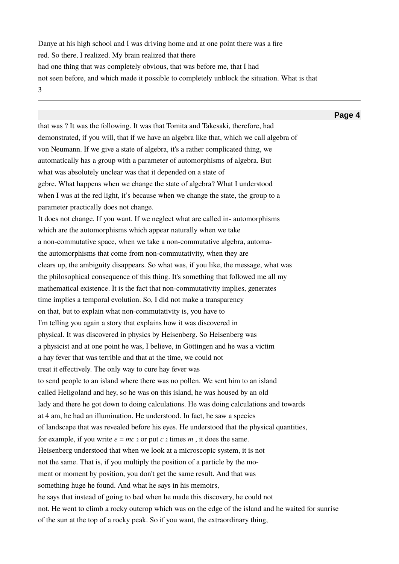Danye at his high school and I was driving home and at one point there was a fre red. So there, I realized. My brain realized that there had one thing that was completely obvious, that was before me, that I had not seen before, and which made it possible to completely unblock the situation. What is that 3

**Page 4** that was ? It was the following. It was that Tomita and Takesaki, therefore, had demonstrated, if you will, that if we have an algebra like that, which we call algebra of von Neumann. If we give a state of algebra, it's a rather complicated thing, we automatically has a group with a parameter of automorphisms of algebra. But what was absolutely unclear was that it depended on a state of gebre. What happens when we change the state of algebra? What I understood when I was at the red light, it's because when we change the state, the group to a parameter practically does not change. It does not change. If you want. If we neglect what are called in- automorphisms which are the automorphisms which appear naturally when we take a non-commutative space, when we take a non-commutative algebra, automathe automorphisms that come from non-commutativity, when they are clears up, the ambiguity disappears. So what was, if you like, the message, what was the philosophical consequence of this thing. It's something that followed me all my mathematical existence. It is the fact that non-commutativity implies, generates time implies a temporal evolution. So, I did not make a transparency on that, but to explain what non-commutativity is, you have to I'm telling you again a story that explains how it was discovered in physical. It was discovered in physics by Heisenberg. So Heisenberg was a physicist and at one point he was, I believe, in Göttingen and he was a victim a hay fever that was terrible and that at the time, we could not treat it efectively. The only way to cure hay fever was to send people to an island where there was no pollen. We sent him to an island called Heligoland and hey, so he was on this island, he was housed by an old lady and there he got down to doing calculations. He was doing calculations and towards at 4 am, he had an illumination. He understood. In fact, he saw a species of landscape that was revealed before his eyes. He understood that the physical quantities, for example, if you write  $e = mc_2$  or put  $c_2$  times  $m$ , it does the same. Heisenberg understood that when we look at a microscopic system, it is not not the same. That is, if you multiply the position of a particle by the moment or moment by position, you don't get the same result. And that was something huge he found. And what he says in his memoirs, he says that instead of going to bed when he made this discovery, he could not not. He went to climb a rocky outcrop which was on the edge of the island and he waited for sunrise of the sun at the top of a rocky peak. So if you want, the extraordinary thing,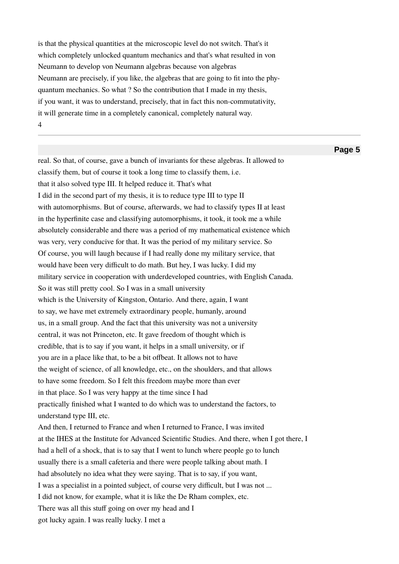is that the physical quantities at the microscopic level do not switch. That's it which completely unlocked quantum mechanics and that's what resulted in von Neumann to develop von Neumann algebras because von algebras Neumann are precisely, if you like, the algebras that are going to ft into the phyquantum mechanics. So what ? So the contribution that I made in my thesis, if you want, it was to understand, precisely, that in fact this non-commutativity, it will generate time in a completely canonical, completely natural way. 4

real. So that, of course, gave a bunch of invariants for these algebras. It allowed to classify them, but of course it took a long time to classify them, i.e. that it also solved type III. It helped reduce it. That's what I did in the second part of my thesis, it is to reduce type III to type II with automorphisms. But of course, afterwards, we had to classify types II at least in the hyperfnite case and classifying automorphisms, it took, it took me a while absolutely considerable and there was a period of my mathematical existence which was very, very conducive for that. It was the period of my military service. So Of course, you will laugh because if I had really done my military service, that would have been very difficult to do math. But hey, I was lucky. I did my military service in cooperation with underdeveloped countries, with English Canada. So it was still pretty cool. So I was in a small university which is the University of Kingston, Ontario. And there, again, I want to say, we have met extremely extraordinary people, humanly, around us, in a small group. And the fact that this university was not a university central, it was not Princeton, etc. It gave freedom of thought which is credible, that is to say if you want, it helps in a small university, or if you are in a place like that, to be a bit ofbeat. It allows not to have the weight of science, of all knowledge, etc., on the shoulders, and that allows to have some freedom. So I felt this freedom maybe more than ever in that place. So I was very happy at the time since I had practically fnished what I wanted to do which was to understand the factors, to understand type III, etc. And then, I returned to France and when I returned to France, I was invited

at the IHES at the Institute for Advanced Scientifc Studies. And there, when I got there, I had a hell of a shock, that is to say that I went to lunch where people go to lunch usually there is a small cafeteria and there were people talking about math. I had absolutely no idea what they were saying. That is to say, if you want, I was a specialist in a pointed subject, of course very difficult, but I was not ... I did not know, for example, what it is like the De Rham complex, etc. There was all this stuff going on over my head and I got lucky again. I was really lucky. I met a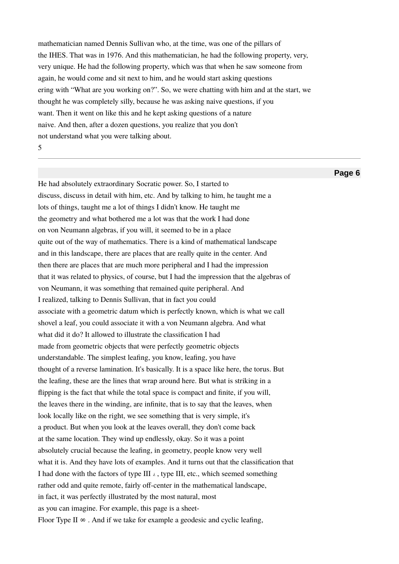mathematician named Dennis Sullivan who, at the time, was one of the pillars of the IHES. That was in 1976. And this mathematician, he had the following property, very, very unique. He had the following property, which was that when he saw someone from again, he would come and sit next to him, and he would start asking questions ering with "What are you working on?". So, we were chatting with him and at the start, we thought he was completely silly, because he was asking naive questions, if you want. Then it went on like this and he kept asking questions of a nature naive. And then, after a dozen questions, you realize that you don't not understand what you were talking about. 5

# **Page 6**

He had absolutely extraordinary Socratic power. So, I started to discuss, discuss in detail with him, etc. And by talking to him, he taught me a lots of things, taught me a lot of things I didn't know. He taught me the geometry and what bothered me a lot was that the work I had done on von Neumann algebras, if you will, it seemed to be in a place quite out of the way of mathematics. There is a kind of mathematical landscape and in this landscape, there are places that are really quite in the center. And then there are places that are much more peripheral and I had the impression that it was related to physics, of course, but I had the impression that the algebras of von Neumann, it was something that remained quite peripheral. And I realized, talking to Dennis Sullivan, that in fact you could associate with a geometric datum which is perfectly known, which is what we call shovel a leaf, you could associate it with a von Neumann algebra. And what what did it do? It allowed to illustrate the classification I had made from geometric objects that were perfectly geometric objects understandable. The simplest leafng, you know, leafng, you have thought of a reverse lamination. It's basically. It is a space like here, the torus. But the leafng, these are the lines that wrap around here. But what is striking in a fipping is the fact that while the total space is compact and fnite, if you will, the leaves there in the winding, are infnite, that is to say that the leaves, when look locally like on the right, we see something that is very simple, it's a product. But when you look at the leaves overall, they don't come back at the same location. They wind up endlessly, okay. So it was a point absolutely crucial because the leafng, in geometry, people know very well what it is. And they have lots of examples. And it turns out that the classifcation that I had done with the factors of type III *λ* , type III, etc., which seemed something rather odd and quite remote, fairly off-center in the mathematical landscape, in fact, it was perfectly illustrated by the most natural, most as you can imagine. For example, this page is a sheet-Floor Type II  $\infty$ . And if we take for example a geodesic and cyclic leafing,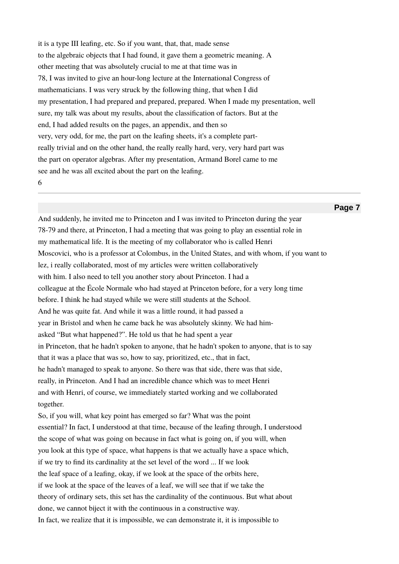it is a type III leafng, etc. So if you want, that, that, made sense to the algebraic objects that I had found, it gave them a geometric meaning. A other meeting that was absolutely crucial to me at that time was in 78, I was invited to give an hour-long lecture at the International Congress of mathematicians. I was very struck by the following thing, that when I did my presentation, I had prepared and prepared, prepared. When I made my presentation, well sure, my talk was about my results, about the classifcation of factors. But at the end, I had added results on the pages, an appendix, and then so very, very odd, for me, the part on the leafng sheets, it's a complete partreally trivial and on the other hand, the really really hard, very, very hard part was the part on operator algebras. After my presentation, Armand Borel came to me see and he was all excited about the part on the leafng. 6

### **Page 7**

And suddenly, he invited me to Princeton and I was invited to Princeton during the year 78-79 and there, at Princeton, I had a meeting that was going to play an essential role in my mathematical life. It is the meeting of my collaborator who is called Henri Moscovici, who is a professor at Colombus, in the United States, and with whom, if you want to lez, i really collaborated, most of my articles were written collaboratively with him. I also need to tell you another story about Princeton. I had a colleague at the École Normale who had stayed at Princeton before, for a very long time before. I think he had stayed while we were still students at the School. And he was quite fat. And while it was a little round, it had passed a year in Bristol and when he came back he was absolutely skinny. We had himasked "But what happened?". He told us that he had spent a year in Princeton, that he hadn't spoken to anyone, that he hadn't spoken to anyone, that is to say that it was a place that was so, how to say, prioritized, etc., that in fact, he hadn't managed to speak to anyone. So there was that side, there was that side, really, in Princeton. And I had an incredible chance which was to meet Henri and with Henri, of course, we immediately started working and we collaborated together. So, if you will, what key point has emerged so far? What was the point essential? In fact, I understood at that time, because of the leafng through, I understood the scope of what was going on because in fact what is going on, if you will, when you look at this type of space, what happens is that we actually have a space which,

if we try to fnd its cardinality at the set level of the word ... If we look

the leaf space of a leafng, okay, if we look at the space of the orbits here,

if we look at the space of the leaves of a leaf, we will see that if we take the

theory of ordinary sets, this set has the cardinality of the continuous. But what about

done, we cannot biject it with the continuous in a constructive way.

In fact, we realize that it is impossible, we can demonstrate it, it is impossible to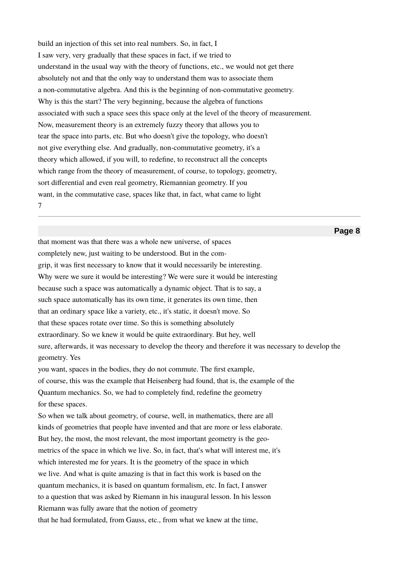build an injection of this set into real numbers. So, in fact, I I saw very, very gradually that these spaces in fact, if we tried to understand in the usual way with the theory of functions, etc., we would not get there absolutely not and that the only way to understand them was to associate them a non-commutative algebra. And this is the beginning of non-commutative geometry. Why is this the start? The very beginning, because the algebra of functions associated with such a space sees this space only at the level of the theory of measurement. Now, measurement theory is an extremely fuzzy theory that allows you to tear the space into parts, etc. But who doesn't give the topology, who doesn't not give everything else. And gradually, non-commutative geometry, it's a theory which allowed, if you will, to redefne, to reconstruct all the concepts which range from the theory of measurement, of course, to topology, geometry, sort diferential and even real geometry, Riemannian geometry. If you want, in the commutative case, spaces like that, in fact, what came to light 7

# **Page 8**

that moment was that there was a whole new universe, of spaces completely new, just waiting to be understood. But in the comgrip, it was frst necessary to know that it would necessarily be interesting. Why were we sure it would be interesting? We were sure it would be interesting because such a space was automatically a dynamic object. That is to say, a such space automatically has its own time, it generates its own time, then that an ordinary space like a variety, etc., it's static, it doesn't move. So that these spaces rotate over time. So this is something absolutely extraordinary. So we knew it would be quite extraordinary. But hey, well sure, afterwards, it was necessary to develop the theory and therefore it was necessary to develop the geometry. Yes you want, spaces in the bodies, they do not commute. The frst example, of course, this was the example that Heisenberg had found, that is, the example of the Quantum mechanics. So, we had to completely fnd, redefne the geometry for these spaces. So when we talk about geometry, of course, well, in mathematics, there are all kinds of geometries that people have invented and that are more or less elaborate. But hey, the most, the most relevant, the most important geometry is the geometrics of the space in which we live. So, in fact, that's what will interest me, it's which interested me for years. It is the geometry of the space in which we live. And what is quite amazing is that in fact this work is based on the quantum mechanics, it is based on quantum formalism, etc. In fact, I answer to a question that was asked by Riemann in his inaugural lesson. In his lesson Riemann was fully aware that the notion of geometry that he had formulated, from Gauss, etc., from what we knew at the time,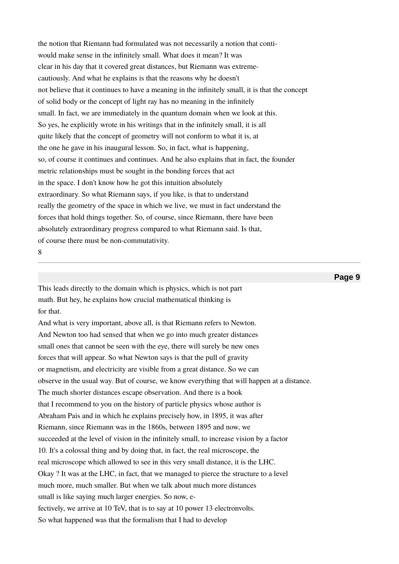the notion that Riemann had formulated was not necessarily a notion that contiwould make sense in the infnitely small. What does it mean? It was clear in his day that it covered great distances, but Riemann was extremecautiously. And what he explains is that the reasons why he doesn't not believe that it continues to have a meaning in the infnitely small, it is that the concept of solid body or the concept of light ray has no meaning in the infnitely small. In fact, we are immediately in the quantum domain when we look at this. So yes, he explicitly wrote in his writings that in the infnitely small, it is all quite likely that the concept of geometry will not conform to what it is, at the one he gave in his inaugural lesson. So, in fact, what is happening, so, of course it continues and continues. And he also explains that in fact, the founder metric relationships must be sought in the bonding forces that act in the space. I don't know how he got this intuition absolutely extraordinary. So what Riemann says, if you like, is that to understand really the geometry of the space in which we live, we must in fact understand the forces that hold things together. So, of course, since Riemann, there have been absolutely extraordinary progress compared to what Riemann said. Is that, of course there must be non-commutativity. 8

### **Page 9**

This leads directly to the domain which is physics, which is not part math. But hey, he explains how crucial mathematical thinking is for that.

And what is very important, above all, is that Riemann refers to Newton. And Newton too had sensed that when we go into much greater distances small ones that cannot be seen with the eye, there will surely be new ones forces that will appear. So what Newton says is that the pull of gravity or magnetism, and electricity are visible from a great distance. So we can observe in the usual way. But of course, we know everything that will happen at a distance. The much shorter distances escape observation. And there is a book that I recommend to you on the history of particle physics whose author is Abraham Pais and in which he explains precisely how, in 1895, it was after Riemann, since Riemann was in the 1860s, between 1895 and now, we succeeded at the level of vision in the infnitely small, to increase vision by a factor 10. It's a colossal thing and by doing that, in fact, the real microscope, the real microscope which allowed to see in this very small distance, it is the LHC. Okay ? It was at the LHC, in fact, that we managed to pierce the structure to a level much more, much smaller. But when we talk about much more distances small is like saying much larger energies. So now, efectively, we arrive at 10 TeV, that is to say at 10 power 13 electronvolts. So what happened was that the formalism that I had to develop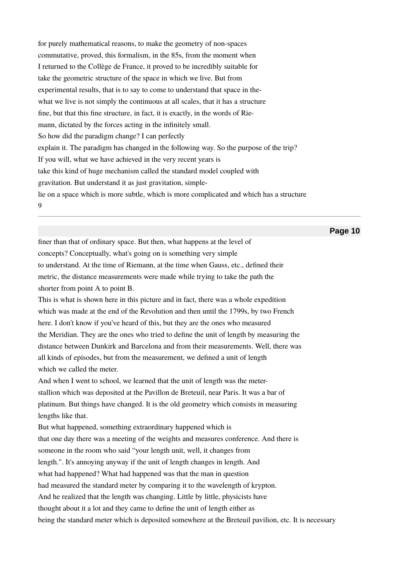for purely mathematical reasons, to make the geometry of non-spaces commutative, proved, this formalism, in the 85s, from the moment when I returned to the Collège de France, it proved to be incredibly suitable for take the geometric structure of the space in which we live. But from experimental results, that is to say to come to understand that space in thewhat we live is not simply the continuous at all scales, that it has a structure fne, but that this fne structure, in fact, it is exactly, in the words of Riemann, dictated by the forces acting in the infnitely small. So how did the paradigm change? I can perfectly explain it. The paradigm has changed in the following way. So the purpose of the trip? If you will, what we have achieved in the very recent years is take this kind of huge mechanism called the standard model coupled with gravitation. But understand it as just gravitation, simplelie on a space which is more subtle, which is more complicated and which has a structure 9

# **Page 10**

fner than that of ordinary space. But then, what happens at the level of concepts? Conceptually, what's going on is something very simple to understand. At the time of Riemann, at the time when Gauss, etc., defned their metric, the distance measurements were made while trying to take the path the shorter from point A to point B.

This is what is shown here in this picture and in fact, there was a whole expedition which was made at the end of the Revolution and then until the 1799s, by two French here. I don't know if you've heard of this, but they are the ones who measured the Meridian. They are the ones who tried to defne the unit of length by measuring the distance between Dunkirk and Barcelona and from their measurements. Well, there was all kinds of episodes, but from the measurement, we defned a unit of length which we called the meter.

And when I went to school, we learned that the unit of length was the meterstallion which was deposited at the Pavillon de Breteuil, near Paris. It was a bar of platinum. But things have changed. It is the old geometry which consists in measuring lengths like that.

But what happened, something extraordinary happened which is that one day there was a meeting of the weights and measures conference. And there is someone in the room who said "your length unit, well, it changes from length.". It's annoying anyway if the unit of length changes in length. And what had happened? What had happened was that the man in question had measured the standard meter by comparing it to the wavelength of krypton. And he realized that the length was changing. Little by little, physicists have thought about it a lot and they came to defne the unit of length either as being the standard meter which is deposited somewhere at the Breteuil pavilion, etc. It is necessary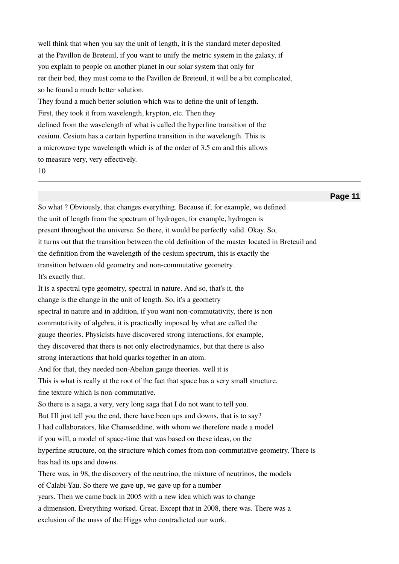well think that when you say the unit of length, it is the standard meter deposited at the Pavillon de Breteuil, if you want to unify the metric system in the galaxy, if you explain to people on another planet in our solar system that only for rer their bed, they must come to the Pavillon de Breteuil, it will be a bit complicated, so he found a much better solution. They found a much better solution which was to defne the unit of length. First, they took it from wavelength, krypton, etc. Then they defned from the wavelength of what is called the hyperfne transition of the cesium. Cesium has a certain hyperfne transition in the wavelength. This is a microwave type wavelength which is of the order of 3.5 cm and this allows to measure very, very efectively.

10

**Page 11**

So what ? Obviously, that changes everything. Because if, for example, we defned the unit of length from the spectrum of hydrogen, for example, hydrogen is present throughout the universe. So there, it would be perfectly valid. Okay. So, it turns out that the transition between the old defnition of the master located in Breteuil and the defnition from the wavelength of the cesium spectrum, this is exactly the transition between old geometry and non-commutative geometry. It's exactly that. It is a spectral type geometry, spectral in nature. And so, that's it, the change is the change in the unit of length. So, it's a geometry spectral in nature and in addition, if you want non-commutativity, there is non commutativity of algebra, it is practically imposed by what are called the gauge theories. Physicists have discovered strong interactions, for example, they discovered that there is not only electrodynamics, but that there is also strong interactions that hold quarks together in an atom. And for that, they needed non-Abelian gauge theories. well it is This is what is really at the root of the fact that space has a very small structure. fne texture which is non-commutative. So there is a saga, a very, very long saga that I do not want to tell you. But I'll just tell you the end, there have been ups and downs, that is to say? I had collaborators, like Chamseddine, with whom we therefore made a model if you will, a model of space-time that was based on these ideas, on the hyperfne structure, on the structure which comes from non-commutative geometry. There is has had its ups and downs. There was, in 98, the discovery of the neutrino, the mixture of neutrinos, the models of Calabi-Yau. So there we gave up, we gave up for a number years. Then we came back in 2005 with a new idea which was to change a dimension. Everything worked. Great. Except that in 2008, there was. There was a exclusion of the mass of the Higgs who contradicted our work.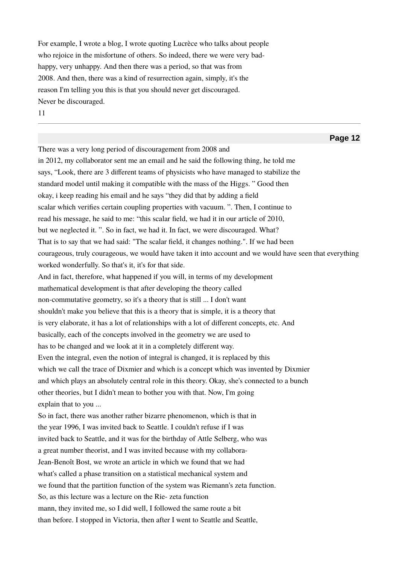For example, I wrote a blog, I wrote quoting Lucrèce who talks about people who rejoice in the misfortune of others. So indeed, there we were very badhappy, very unhappy. And then there was a period, so that was from 2008. And then, there was a kind of resurrection again, simply, it's the reason I'm telling you this is that you should never get discouraged. Never be discouraged. 11

There was a very long period of discouragement from 2008 and in 2012, my collaborator sent me an email and he said the following thing, he told me says, "Look, there are 3 diferent teams of physicists who have managed to stabilize the standard model until making it compatible with the mass of the Higgs. " Good then okay, i keep reading his email and he says "they did that by adding a feld scalar which verifes certain coupling properties with vacuum. ". Then, I continue to read his message, he said to me: "this scalar feld, we had it in our article of 2010, but we neglected it. ". So in fact, we had it. In fact, we were discouraged. What? That is to say that we had said: "The scalar feld, it changes nothing.". If we had been courageous, truly courageous, we would have taken it into account and we would have seen that everything worked wonderfully. So that's it, it's for that side. And in fact, therefore, what happened if you will, in terms of my development mathematical development is that after developing the theory called non-commutative geometry, so it's a theory that is still ... I don't want shouldn't make you believe that this is a theory that is simple, it is a theory that is very elaborate, it has a lot of relationships with a lot of diferent concepts, etc. And basically, each of the concepts involved in the geometry we are used to has to be changed and we look at it in a completely diferent way. Even the integral, even the notion of integral is changed, it is replaced by this which we call the trace of Dixmier and which is a concept which was invented by Dixmier and which plays an absolutely central role in this theory. Okay, she's connected to a bunch other theories, but I didn't mean to bother you with that. Now, I'm going explain that to you ... So in fact, there was another rather bizarre phenomenon, which is that in the year 1996, I was invited back to Seattle. I couldn't refuse if I was invited back to Seattle, and it was for the birthday of Attle Selberg, who was a great number theorist, and I was invited because with my collabora-Jean-Benoît Bost, we wrote an article in which we found that we had what's called a phase transition on a statistical mechanical system and we found that the partition function of the system was Riemann's zeta function. So, as this lecture was a lecture on the Rie- zeta function mann, they invited me, so I did well, I followed the same route a bit than before. I stopped in Victoria, then after I went to Seattle and Seattle,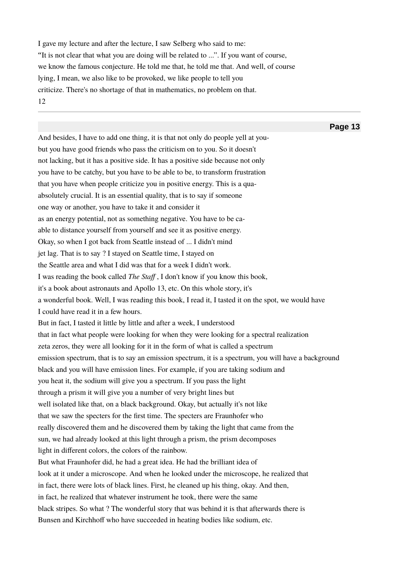I gave my lecture and after the lecture, I saw Selberg who said to me: "It is not clear that what you are doing will be related to ...". If you want of course, we know the famous conjecture. He told me that, he told me that. And well, of course lying, I mean, we also like to be provoked, we like people to tell you criticize. There's no shortage of that in mathematics, no problem on that. 12

And besides, I have to add one thing, it is that not only do people yell at youbut you have good friends who pass the criticism on to you. So it doesn't not lacking, but it has a positive side. It has a positive side because not only you have to be catchy, but you have to be able to be, to transform frustration that you have when people criticize you in positive energy. This is a quaabsolutely crucial. It is an essential quality, that is to say if someone one way or another, you have to take it and consider it as an energy potential, not as something negative. You have to be caable to distance yourself from yourself and see it as positive energy. Okay, so when I got back from Seattle instead of ... I didn't mind jet lag. That is to say ? I stayed on Seattle time, I stayed on the Seattle area and what I did was that for a week I didn't work. I was reading the book called *The Staf* , I don't know if you know this book, it's a book about astronauts and Apollo 13, etc. On this whole story, it's a wonderful book. Well, I was reading this book, I read it, I tasted it on the spot, we would have I could have read it in a few hours. But in fact, I tasted it little by little and after a week, I understood that in fact what people were looking for when they were looking for a spectral realization zeta zeros, they were all looking for it in the form of what is called a spectrum emission spectrum, that is to say an emission spectrum, it is a spectrum, you will have a background black and you will have emission lines. For example, if you are taking sodium and you heat it, the sodium will give you a spectrum. If you pass the light through a prism it will give you a number of very bright lines but well isolated like that, on a black background. Okay, but actually it's not like that we saw the specters for the frst time. The specters are Fraunhofer who really discovered them and he discovered them by taking the light that came from the sun, we had already looked at this light through a prism, the prism decomposes light in diferent colors, the colors of the rainbow. But what Fraunhofer did, he had a great idea. He had the brilliant idea of look at it under a microscope. And when he looked under the microscope, he realized that in fact, there were lots of black lines. First, he cleaned up his thing, okay. And then, in fact, he realized that whatever instrument he took, there were the same black stripes. So what ? The wonderful story that was behind it is that afterwards there is Bunsen and Kirchhoff who have succeeded in heating bodies like sodium, etc.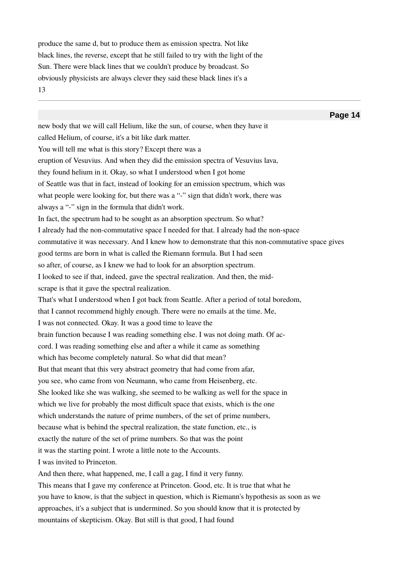produce the same d, but to produce them as emission spectra. Not like black lines, the reverse, except that he still failed to try with the light of the Sun. There were black lines that we couldn't produce by broadcast. So obviously physicists are always clever they said these black lines it's a 13

**Page 14** new body that we will call Helium, like the sun, of course, when they have it called Helium, of course, it's a bit like dark matter. You will tell me what is this story? Except there was a eruption of Vesuvius. And when they did the emission spectra of Vesuvius lava, they found helium in it. Okay, so what I understood when I got home of Seattle was that in fact, instead of looking for an emission spectrum, which was what people were looking for, but there was a "-" sign that didn't work, there was always a "-" sign in the formula that didn't work. In fact, the spectrum had to be sought as an absorption spectrum. So what? I already had the non-commutative space I needed for that. I already had the non-space commutative it was necessary. And I knew how to demonstrate that this non-commutative space gives good terms are born in what is called the Riemann formula. But I had seen so after, of course, as I knew we had to look for an absorption spectrum. I looked to see if that, indeed, gave the spectral realization. And then, the midscrape is that it gave the spectral realization. That's what I understood when I got back from Seattle. After a period of total boredom, that I cannot recommend highly enough. There were no emails at the time. Me, I was not connected. Okay. It was a good time to leave the brain function because I was reading something else. I was not doing math. Of accord. I was reading something else and after a while it came as something which has become completely natural. So what did that mean? But that meant that this very abstract geometry that had come from afar, you see, who came from von Neumann, who came from Heisenberg, etc. She looked like she was walking, she seemed to be walking as well for the space in which we live for probably the most difficult space that exists, which is the one which understands the nature of prime numbers, of the set of prime numbers, because what is behind the spectral realization, the state function, etc., is exactly the nature of the set of prime numbers. So that was the point it was the starting point. I wrote a little note to the Accounts. I was invited to Princeton. And then there, what happened, me, I call a gag, I find it very funny. This means that I gave my conference at Princeton. Good, etc. It is true that what he you have to know, is that the subject in question, which is Riemann's hypothesis as soon as we approaches, it's a subject that is undermined. So you should know that it is protected by

mountains of skepticism. Okay. But still is that good, I had found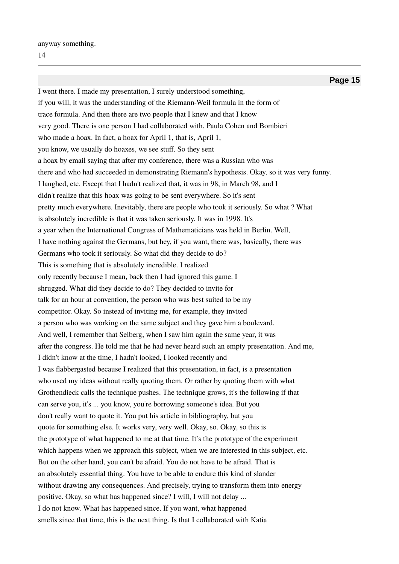anyway something.

**Page 15** I went there. I made my presentation, I surely understood something, if you will, it was the understanding of the Riemann-Weil formula in the form of trace formula. And then there are two people that I knew and that I know very good. There is one person I had collaborated with, Paula Cohen and Bombieri who made a hoax. In fact, a hoax for April 1, that is, April 1, you know, we usually do hoaxes, we see stuf. So they sent a hoax by email saying that after my conference, there was a Russian who was there and who had succeeded in demonstrating Riemann's hypothesis. Okay, so it was very funny. I laughed, etc. Except that I hadn't realized that, it was in 98, in March 98, and I didn't realize that this hoax was going to be sent everywhere. So it's sent pretty much everywhere. Inevitably, there are people who took it seriously. So what ? What is absolutely incredible is that it was taken seriously. It was in 1998. It's a year when the International Congress of Mathematicians was held in Berlin. Well, I have nothing against the Germans, but hey, if you want, there was, basically, there was Germans who took it seriously. So what did they decide to do? This is something that is absolutely incredible. I realized only recently because I mean, back then I had ignored this game. I shrugged. What did they decide to do? They decided to invite for talk for an hour at convention, the person who was best suited to be my competitor. Okay. So instead of inviting me, for example, they invited a person who was working on the same subject and they gave him a boulevard. And well, I remember that Selberg, when I saw him again the same year, it was after the congress. He told me that he had never heard such an empty presentation. And me, I didn't know at the time, I hadn't looked, I looked recently and I was fabbergasted because I realized that this presentation, in fact, is a presentation who used my ideas without really quoting them. Or rather by quoting them with what Grothendieck calls the technique pushes. The technique grows, it's the following if that can serve you, it's ... you know, you're borrowing someone's idea. But you don't really want to quote it. You put his article in bibliography, but you quote for something else. It works very, very well. Okay, so. Okay, so this is the prototype of what happened to me at that time. It's the prototype of the experiment which happens when we approach this subject, when we are interested in this subject, etc. But on the other hand, you can't be afraid. You do not have to be afraid. That is an absolutely essential thing. You have to be able to endure this kind of slander without drawing any consequences. And precisely, trying to transform them into energy positive. Okay, so what has happened since? I will, I will not delay ... I do not know. What has happened since. If you want, what happened smells since that time, this is the next thing. Is that I collaborated with Katia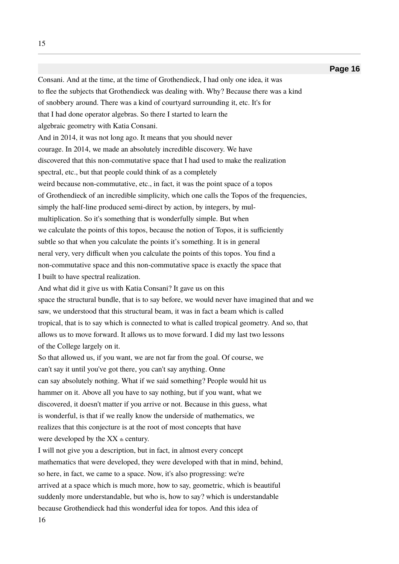Consani. And at the time, at the time of Grothendieck, I had only one idea, it was to flee the subjects that Grothendieck was dealing with. Why? Because there was a kind of snobbery around. There was a kind of courtyard surrounding it, etc. It's for that I had done operator algebras. So there I started to learn the algebraic geometry with Katia Consani. And in 2014, it was not long ago. It means that you should never courage. In 2014, we made an absolutely incredible discovery. We have discovered that this non-commutative space that I had used to make the realization spectral, etc., but that people could think of as a completely weird because non-commutative, etc., in fact, it was the point space of a topos of Grothendieck of an incredible simplicity, which one calls the Topos of the frequencies, simply the half-line produced semi-direct by action, by integers, by mulmultiplication. So it's something that is wonderfully simple. But when we calculate the points of this topos, because the notion of Topos, it is sufficiently subtle so that when you calculate the points it's something. It is in general neral very, very difficult when you calculate the points of this topos. You find a non-commutative space and this non-commutative space is exactly the space that I built to have spectral realization. And what did it give us with Katia Consani? It gave us on this space the structural bundle, that is to say before, we would never have imagined that and we saw, we understood that this structural beam, it was in fact a beam which is called tropical, that is to say which is connected to what is called tropical geometry. And so, that allows us to move forward. It allows us to move forward. I did my last two lessons of the College largely on it. So that allowed us, if you want, we are not far from the goal. Of course, we can't say it until you've got there, you can't say anything. Onne can say absolutely nothing. What if we said something? People would hit us hammer on it. Above all you have to say nothing, but if you want, what we discovered, it doesn't matter if you arrive or not. Because in this guess, what is wonderful, is that if we really know the underside of mathematics, we realizes that this conjecture is at the root of most concepts that have were developed by the  $XX$  th century. I will not give you a description, but in fact, in almost every concept mathematics that were developed, they were developed with that in mind, behind, so here, in fact, we came to a space. Now, it's also progressing: we're

arrived at a space which is much more, how to say, geometric, which is beautiful suddenly more understandable, but who is, how to say? which is understandable

because Grothendieck had this wonderful idea for topos. And this idea of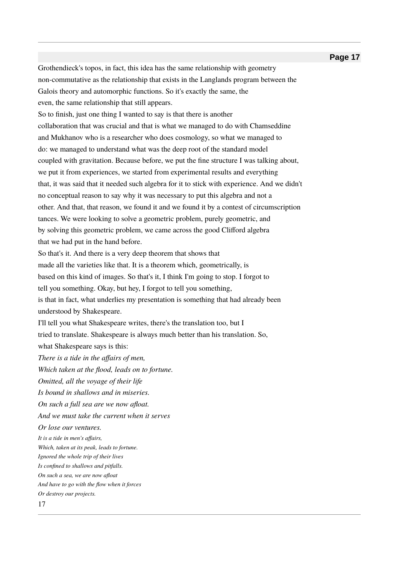Grothendieck's topos, in fact, this idea has the same relationship with geometry non-commutative as the relationship that exists in the Langlands program between the Galois theory and automorphic functions. So it's exactly the same, the even, the same relationship that still appears.

So to fnish, just one thing I wanted to say is that there is another collaboration that was crucial and that is what we managed to do with Chamseddine and Mukhanov who is a researcher who does cosmology, so what we managed to do: we managed to understand what was the deep root of the standard model coupled with gravitation. Because before, we put the fne structure I was talking about, we put it from experiences, we started from experimental results and everything that, it was said that it needed such algebra for it to stick with experience. And we didn't no conceptual reason to say why it was necessary to put this algebra and not a other. And that, that reason, we found it and we found it by a contest of circumscription tances. We were looking to solve a geometric problem, purely geometric, and by solving this geometric problem, we came across the good Cliford algebra that we had put in the hand before.

So that's it. And there is a very deep theorem that shows that made all the varieties like that. It is a theorem which, geometrically, is based on this kind of images. So that's it, I think I'm going to stop. I forgot to tell you something. Okay, but hey, I forgot to tell you something, is that in fact, what underlies my presentation is something that had already been understood by Shakespeare.

I'll tell you what Shakespeare writes, there's the translation too, but I tried to translate. Shakespeare is always much better than his translation. So, what Shakespeare says is this:

*There is a tide in the affairs of men,* 

*Which taken at the flood, leads on to fortune.* 

*Omitted, all the voyage of their life* 

*Is bound in shallows and in miseries.* 

*On such a full sea are we now afloat.* 

*And we must take the current when it serves*

*<u>Or lose our ventures</u>.* 

*It is a tide in men's afairs,*

*Which, taken at its peak, leads to fortune.* 

*Ignored the whole trip of their lives* 

*Is confined to shallows and pitfalls.* 

*On such a sea, we are now afloat* 

And have to go with the flow when it forces

*Or destroy our projects.*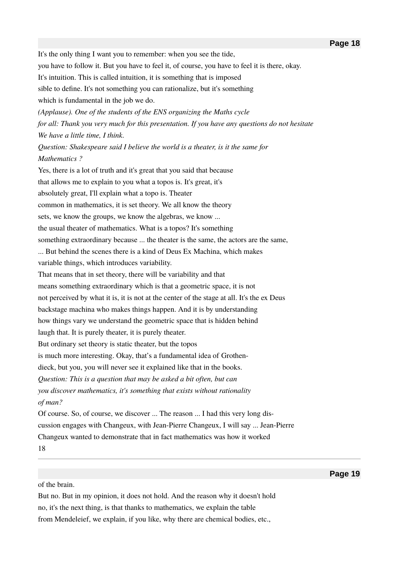It's the only thing I want you to remember: when you see the tide, you have to follow it. But you have to feel it, of course, you have to feel it is there, okay. It's intuition. This is called intuition, it is something that is imposed sible to defne. It's not something you can rationalize, but it's something which is fundamental in the job we do. *(Applause). One of the students of the ENS organizing the Maths cycle for all: Thank you very much for this presentation. If you have any questions do not hesitate We have a little time, I think. Question: Shakespeare said I believe the world is a theater, is it the same for Mathematics ?* Yes, there is a lot of truth and it's great that you said that because that allows me to explain to you what a topos is. It's great, it's absolutely great, I'll explain what a topo is. Theater common in mathematics, it is set theory. We all know the theory sets, we know the groups, we know the algebras, we know ... the usual theater of mathematics. What is a topos? It's something something extraordinary because ... the theater is the same, the actors are the same, ... But behind the scenes there is a kind of Deus Ex Machina, which makes variable things, which introduces variability. That means that in set theory, there will be variability and that means something extraordinary which is that a geometric space, it is not not perceived by what it is, it is not at the center of the stage at all. It's the ex Deus backstage machina who makes things happen. And it is by understanding how things vary we understand the geometric space that is hidden behind laugh that. It is purely theater, it is purely theater. But ordinary set theory is static theater, but the topos is much more interesting. Okay, that's a fundamental idea of Grothendieck, but you, you will never see it explained like that in the books. *Question: This is a question that may be asked a bit often, but can you discover mathematics, it's something that exists without rationality* of man? Of course. So, of course, we discover ... The reason ... I had this very long discussion engages with Changeux, with Jean-Pierre Changeux, I will say ... Jean-Pierre Changeux wanted to demonstrate that in fact mathematics was how it worked

18

of the brain.

But no. But in my opinion, it does not hold. And the reason why it doesn't hold no, it's the next thing, is that thanks to mathematics, we explain the table from Mendeleief, we explain, if you like, why there are chemical bodies, etc.,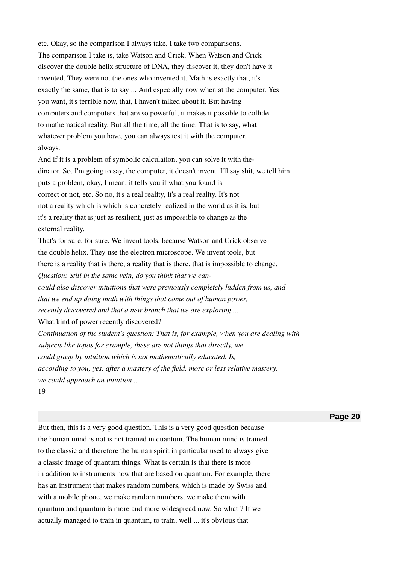etc. Okay, so the comparison I always take, I take two comparisons. The comparison I take is, take Watson and Crick. When Watson and Crick discover the double helix structure of DNA, they discover it, they don't have it invented. They were not the ones who invented it. Math is exactly that, it's exactly the same, that is to say ... And especially now when at the computer. Yes you want, it's terrible now, that, I haven't talked about it. But having computers and computers that are so powerful, it makes it possible to collide to mathematical reality. But all the time, all the time. That is to say, what whatever problem you have, you can always test it with the computer, always.

And if it is a problem of symbolic calculation, you can solve it with thedinator. So, I'm going to say, the computer, it doesn't invent. I'll say shit, we tell him puts a problem, okay, I mean, it tells you if what you found is correct or not, etc. So no, it's a real reality, it's a real reality. It's not not a reality which is which is concretely realized in the world as it is, but it's a reality that is just as resilient, just as impossible to change as the external reality.

That's for sure, for sure. We invent tools, because Watson and Crick observe the double helix. They use the electron microscope. We invent tools, but there is a reality that is there, a reality that is there, that is impossible to change. *Question: Still in the same vein, do you think that we cancould also discover intuitions that were previously completely hidden from us, and that we end up doing math with things that come out of human power, recently discovered and that a new branch that we are exploring ...* What kind of power recently discovered? *Continuation of the student's question: That is, for example, when you are dealing with subjects like topos for example, these are not things that directly, we could grasp by intuition which is not mathematically educated. Is, according to you, yes, after a mastery of the field, more or less relative mastery, we could approach an intuition* ...

19

**Page 20**

But then, this is a very good question. This is a very good question because the human mind is not is not trained in quantum. The human mind is trained to the classic and therefore the human spirit in particular used to always give a classic image of quantum things. What is certain is that there is more in addition to instruments now that are based on quantum. For example, there has an instrument that makes random numbers, which is made by Swiss and with a mobile phone, we make random numbers, we make them with quantum and quantum is more and more widespread now. So what ? If we actually managed to train in quantum, to train, well ... it's obvious that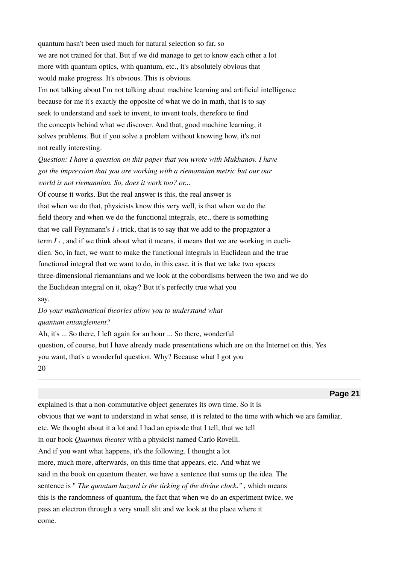quantum hasn't been used much for natural selection so far, so we are not trained for that. But if we did manage to get to know each other a lot more with quantum optics, with quantum, etc., it's absolutely obvious that would make progress. It's obvious. This is obvious.

I'm not talking about I'm not talking about machine learning and artifcial intelligence because for me it's exactly the opposite of what we do in math, that is to say seek to understand and seek to invent, to invent tools, therefore to fnd the concepts behind what we discover. And that, good machine learning, it solves problems. But if you solve a problem without knowing how, it's not not really interesting.

*Question: I have a question on this paper that you wrote with Mukhanov. I have got the impression that you are working with a riemannian metric but our our world is not riemannian. So, does it work too? or...* 

Of course it works. But the real answer is this, the real answer is that when we do that, physicists know this very well, is that when we do the feld theory and when we do the functional integrals, etc., there is something that we call Feynmann's  $I \in \text{trick}$ , that is to say that we add to the propagator a term  $I_{\epsilon}$ , and if we think about what it means, it means that we are working in euclidien. So, in fact, we want to make the functional integrals in Euclidean and the true functional integral that we want to do, in this case, it is that we take two spaces three-dimensional riemannians and we look at the cobordisms between the two and we do the Euclidean integral on it, okay? But it's perfectly true what you say.

# *Do your mathematical theories allow you to understand what quantum entanglement?*

Ah, it's ... So there, I left again for an hour ... So there, wonderful question, of course, but I have already made presentations which are on the Internet on this. Yes you want, that's a wonderful question. Why? Because what I got you 20

explained is that a non-commutative object generates its own time. So it is obvious that we want to understand in what sense, it is related to the time with which we are familiar, etc. We thought about it a lot and I had an episode that I tell, that we tell in our book *Quantum theater* with a physicist named Carlo Rovelli. And if you want what happens, it's the following. I thought a lot more, much more, afterwards, on this time that appears, etc. And what we said in the book on quantum theater, we have a sentence that sums up the idea. The sentence is " *The quantum hazard is the ticking of the divine clock."*, which means this is the randomness of quantum, the fact that when we do an experiment twice, we pass an electron through a very small slit and we look at the place where it come.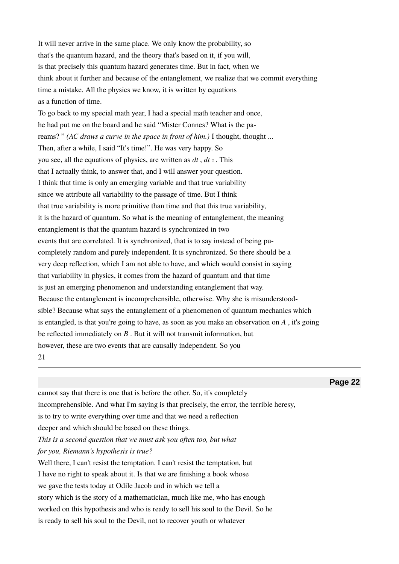It will never arrive in the same place. We only know the probability, so that's the quantum hazard, and the theory that's based on it, if you will, is that precisely this quantum hazard generates time. But in fact, when we think about it further and because of the entanglement, we realize that we commit everything time a mistake. All the physics we know, it is written by equations as a function of time.

To go back to my special math year, I had a special math teacher and once, he had put me on the board and he said "Mister Connes? What is the pareams?" *(AC draws a curve in the space in front of him.)* I thought, thought ... Then, after a while, I said "It's time!". He was very happy. So you see, all the equations of physics, are written as *dt* , *dt* 2 . This that I actually think, to answer that, and I will answer your question. I think that time is only an emerging variable and that true variability since we attribute all variability to the passage of time. But I think that true variability is more primitive than time and that this true variability, it is the hazard of quantum. So what is the meaning of entanglement, the meaning entanglement is that the quantum hazard is synchronized in two events that are correlated. It is synchronized, that is to say instead of being pucompletely random and purely independent. It is synchronized. So there should be a very deep refection, which I am not able to have, and which would consist in saying that variability in physics, it comes from the hazard of quantum and that time is just an emerging phenomenon and understanding entanglement that way. Because the entanglement is incomprehensible, otherwise. Why she is misunderstoodsible? Because what says the entanglement of a phenomenon of quantum mechanics which is entangled, is that you're going to have, as soon as you make an observation on *A* , it's going be refected immediately on *B* . But it will not transmit information, but however, these are two events that are causally independent. So you 21

**Page 22**

cannot say that there is one that is before the other. So, it's completely incomprehensible. And what I'm saying is that precisely, the error, the terrible heresy, is to try to write everything over time and that we need a refection deeper and which should be based on these things. *This is a second question that we must ask you often too, but what for you, Riemann's hypothesis is true?* Well there, I can't resist the temptation. I can't resist the temptation, but I have no right to speak about it. Is that we are fnishing a book whose we gave the tests today at Odile Jacob and in which we tell a story which is the story of a mathematician, much like me, who has enough worked on this hypothesis and who is ready to sell his soul to the Devil. So he is ready to sell his soul to the Devil, not to recover youth or whatever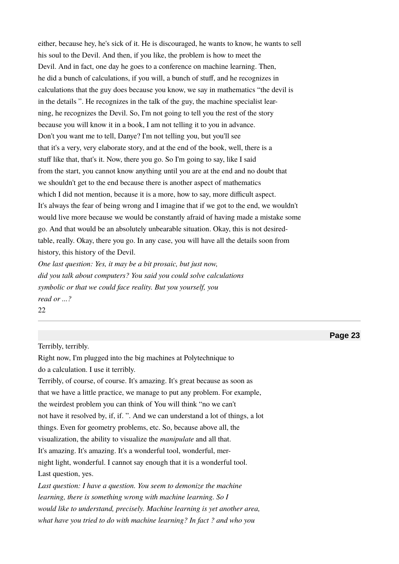either, because hey, he's sick of it. He is discouraged, he wants to know, he wants to sell his soul to the Devil. And then, if you like, the problem is how to meet the Devil. And in fact, one day he goes to a conference on machine learning. Then, he did a bunch of calculations, if you will, a bunch of stuf, and he recognizes in calculations that the guy does because you know, we say in mathematics "the devil is in the details ". He recognizes in the talk of the guy, the machine specialist learning, he recognizes the Devil. So, I'm not going to tell you the rest of the story because you will know it in a book, I am not telling it to you in advance. Don't you want me to tell, Danye? I'm not telling you, but you'll see that it's a very, very elaborate story, and at the end of the book, well, there is a stuff like that, that's it. Now, there you go. So I'm going to say, like I said from the start, you cannot know anything until you are at the end and no doubt that we shouldn't get to the end because there is another aspect of mathematics which I did not mention, because it is a more, how to say, more difficult aspect. It's always the fear of being wrong and I imagine that if we got to the end, we wouldn't would live more because we would be constantly afraid of having made a mistake some go. And that would be an absolutely unbearable situation. Okay, this is not desiredtable, really. Okay, there you go. In any case, you will have all the details soon from history, this history of the Devil.

*One last question: Yes, it may be a bit prosaic, but just now,* did you talk about computers? You said you could solve calculations *symbolic or that we could face reality. But you yourself, you read or ...?* 

22

#### Terribly, terribly.

Right now, I'm plugged into the big machines at Polytechnique to do a calculation. I use it terribly. Terribly, of course, of course. It's amazing. It's great because as soon as that we have a little practice, we manage to put any problem. For example, the weirdest problem you can think of You will think "no we can't not have it resolved by, if, if. ". And we can understand a lot of things, a lot things. Even for geometry problems, etc. So, because above all, the visualization, the ability to visualize the *manipulate* and all that. It's amazing. It's amazing. It's a wonderful tool, wonderful, mernight light, wonderful. I cannot say enough that it is a wonderful tool. Last question, yes.

*Last question: I have a question. You seem to demonize the machine learning, there is something wrong with machine learning. So I would like to understand, precisely. Machine learning is yet another area, what have you tried to do with machine learning? In fact? and who you*